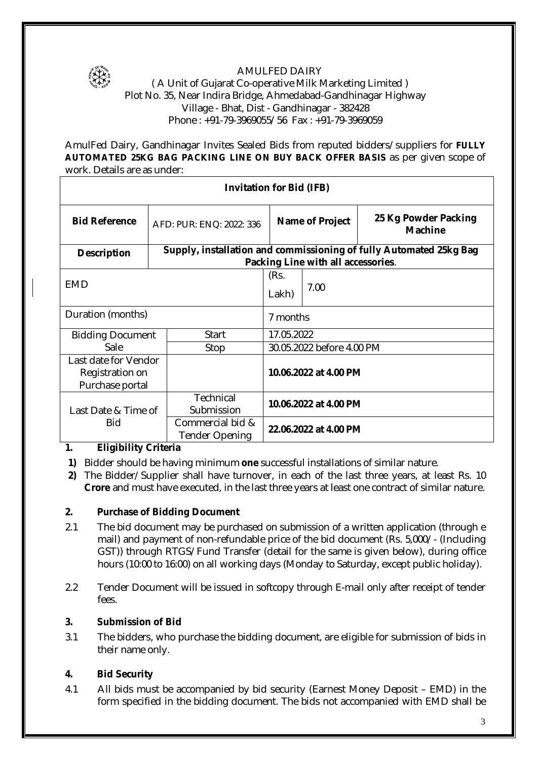

#### AMULFED DAIRY

#### ( A Unit of Gujarat Co-operative Milk Marketing Limited ) Plot No. 35, Near Indira Bridge, Ahmedabad-Gandhinagar Highway Village - Bhat, Dist - Gandhinagar - 382428 Phone : +91-79-3969055/56 Fax : +91-79-3969059

AmulFed Dairy, Gandhinagar Invites Sealed Bids from reputed bidders/suppliers for **FULLY AUTOMATED 25KG BAG PACKING LINE ON BUY BACK OFFER BASIS** as per given scope of work. Details are as under:

| <b>Invitation for Bid (IFB)</b> |  |                                                                                                          |                           |                 |                                        |  |
|---------------------------------|--|----------------------------------------------------------------------------------------------------------|---------------------------|-----------------|----------------------------------------|--|
| <b>Bid Reference</b>            |  | AFD: PUR: ENQ: 2022: 336                                                                                 |                           | Name of Project | 25 Kg Powder Packing<br><b>Machine</b> |  |
| <b>Description</b>              |  | Supply, installation and commissioning of fully Automated 25kg Bag<br>Packing Line with all accessories. |                           |                 |                                        |  |
|                                 |  |                                                                                                          |                           |                 |                                        |  |
| <b>EMD</b>                      |  |                                                                                                          | (Rs.                      |                 |                                        |  |
|                                 |  |                                                                                                          | Lakh)                     | 7.00            |                                        |  |
| Duration (months)               |  |                                                                                                          | 7 months                  |                 |                                        |  |
| <b>Bidding Document</b>         |  | <b>Start</b>                                                                                             | 17.05.2022                |                 |                                        |  |
| Sale                            |  | Stop                                                                                                     | 30.05.2022 before 4.00 PM |                 |                                        |  |
| Last date for Vendor            |  |                                                                                                          |                           |                 |                                        |  |
| Registration on                 |  |                                                                                                          | 10.06.2022 at 4.00 PM     |                 |                                        |  |
| Purchase portal                 |  |                                                                                                          |                           |                 |                                        |  |
|                                 |  | <b>Technical</b>                                                                                         |                           |                 |                                        |  |
| Last Date & Time of             |  | Submission                                                                                               | 10.06.2022 at 4.00 PM     |                 |                                        |  |
| <b>Bid</b>                      |  | Commercial bid &                                                                                         | 22.06.2022 at 4.00 PM     |                 |                                        |  |
|                                 |  | <b>Tender Opening</b>                                                                                    |                           |                 |                                        |  |

# **1. Eligibility Criteria**

- **1)** Bidder should be having minimum **one** successful installations of similar nature.
- **2)** The Bidder/Supplier shall have turnover, in each of the last three years, at least Rs. 10 **Crore** and must have executed, in the last three years at least one contract of similar nature.

# **2. Purchase of Bidding Document**

- 2.1 The bid document may be purchased on submission of a written application (through e mail) and payment of non-refundable price of the bid document (Rs. 5,000/- (Including GST)) through RTGS/Fund Transfer (detail for the same is given below), during office hours (10:00 to 16:00) on all working days (Monday to Saturday, except public holiday).
- 2.2 Tender Document will be issued in softcopy through E-mail only after receipt of tender  $f_{\rho\alpha}$

# **3. Submission of Bid**

3.1 The bidders, who purchase the bidding document, are eligible for submission of bids in their name only.

# **4. Bid Security**

4.1 All bids must be accompanied by bid security (Earnest Money Deposit – EMD) in the form specified in the bidding document. The bids not accompanied with EMD shall be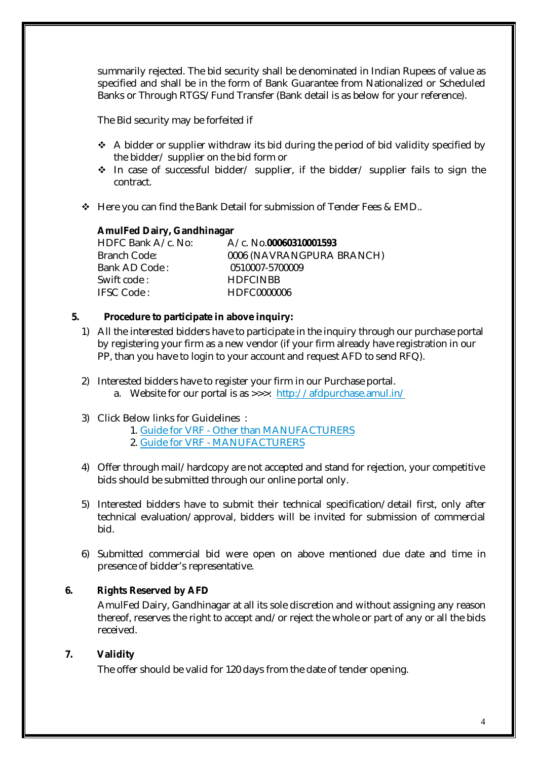summarily rejected. The bid security shall be denominated in Indian Rupees of value as specified and shall be in the form of Bank Guarantee from Nationalized or Scheduled Banks or Through RTGS/Fund Transfer (Bank detail is as below for your reference).

The Bid security may be forfeited if

- $\triangle$  A bidder or supplier withdraw its bid during the period of bid validity specified by the bidder/ supplier on the bid form or
- $\div$  In case of successful bidder/ supplier, if the bidder/ supplier fails to sign the contract.
- $\triangle$  Here you can find the Bank Detail for submission of Tender Fees & EMD.

#### **AmulFed Dairy, Gandhinagar**

| HDFC Bank A/c. No: | A/c. No.00060310001593    |
|--------------------|---------------------------|
| Branch Code:       | 0006 (NAVRANGPURA BRANCH) |
| Bank AD Code:      | 0510007-5700009           |
| Swift code:        | <b>HDFCINBB</b>           |
| <b>IFSC Code:</b>  | HDFC0000006               |

#### **5. Procedure to participate in above inquiry:**

- 1) All the interested bidders have to participate in the inquiry through our purchase portal by registering your firm as a new vendor (if your firm already have registration in our PP, than you have to login to your account and request AFD to send RFQ).
- 2) Interested bidders have to register your firm in our Purchase portal.
	- a. Website for our portal is as >>>: http://afdpurchase.amul.in/
- 3) Click Below links for Guidelines :
	- 1. Guide for VRF Other than MANUFACTURERS
	- 2. Guide for VRF MANUFACTURERS
- 4) Offer through mail/hardcopy are not accepted and stand for rejection, your competitive bids should be submitted through our online portal only.
- 5) Interested bidders have to submit their technical specification/detail first, only after technical evaluation/approval, bidders will be invited for submission of commercial bid.
- 6) Submitted commercial bid were open on above mentioned due date and time in presence of bidder's representative.

### **6. Rights Reserved by AFD**

AmulFed Dairy, Gandhinagar at all its sole discretion and without assigning any reason thereof, reserves the right to accept and/or reject the whole or part of any or all the bids received.

### **7. Validity**

The offer should be valid for 120 days from the date of tender opening.